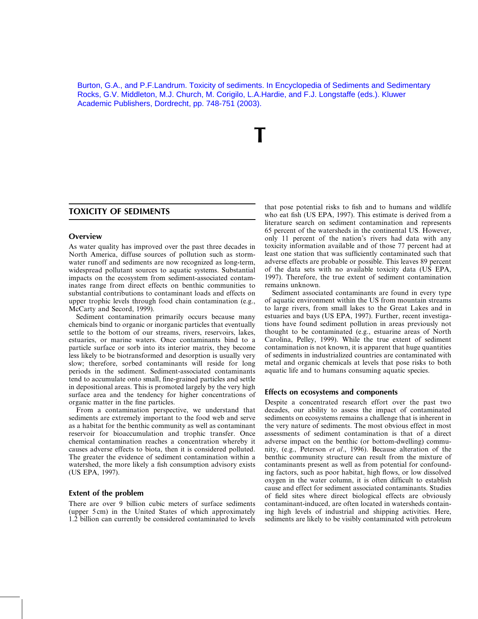Burton, G.A., and P.F.Landrum. Toxicity of sediments. In Encyclopedia of Sediments and Sedimentary Rocks, G.V. Middleton, M.J. Church, M. Corigilo, L.A.Hardie, and F.J. Longstaffe (eds.). Kluwer Academic Publishers, Dordrecht, pp. 748-751 (2003).

# **TOXICITY OF SEDIMENTS**

### Overview

As water quality has improved over the past three decades in North America, diffuse sources of pollution such as stormwater runoff and sediments are now recognized as long-term, widespread pollutant sources to aquatic systems. Substantial impacts on the ecosystem from sediment-associated contaminates range from direct effects on benthic communities to substantial contributions to contaminant loads and effects on upper trophic levels through food chain contamination (e.g., McCarty and Secord, 1999).

Sediment contamination primarily occurs because many chemicals bind to organic or inorganic particles that eventually settle to the bottom of our streams, rivers, reservoirs, lakes, estuaries, or marine waters. Once contaminants bind to a particle surface or sorb into its interior matrix, they become less likely to be biotransformed and desorption is usually very slow; therefore, sorbed contaminants will reside for long periods in the sediment. Sediment-associated contaminants tend to accumulate onto small, fine-grained particles and settle in depositional areas. This is promoted largely by the very high surface area and the tendency for higher concentrations of organic matter in the fine particles.

From a contamination perspective, we understand that sediments are extremely important to the food web and serve as a habitat for the benthic community as well as contaminant reservoir for bioaccumulation and trophic transfer. Once chemical contamination reaches a concentration whereby it causes adverse effects to biota, then it is considered polluted. The greater the evidence of sediment contamination within a watershed, the more likely a fish consumption advisory exists (US EPA, 1997).

### **Extent of the problem**

There are over 9 billion cubic meters of surface sediments (upper 5 cm) in the United States of which approximately 1.2 billion can currently be considered contaminated to levels that pose potential risks to fish and to humans and wildlife who eat fish (US EPA, 1997). This estimate is derived from a literature search on sediment contamination and represents 65 percent of the watersheds in the continental US. However, only 11 percent of the nation's rivers had data with any toxicity information available and of those 77 percent had at least one station that was sufficiently contaminated such that adverse effects are probable or possible. This leaves 89 percent of the data sets with no available toxicity data (US EPA, 1997). Therefore, the true extent of sediment contamination remains unknown.

Sediment associated contaminants are found in every type of aquatic environment within the US from mountain streams to large rivers, from small lakes to the Great Lakes and in estuaries and bays (US EPA, 1997). Further, recent investigations have found sediment pollution in areas previously not thought to be contaminated (e.g., estuarine areas of North Carolina, Pelley, 1999). While the true extent of sediment contamination is not known, it is apparent that huge quantities of sediments in industrialized countries are contaminated with metal and organic chemicals at levels that pose risks to both aquatic life and to humans consuming aquatic species.

### Effects on ecosystems and components

Despite a concentrated research effort over the past two decades, our ability to assess the impact of contaminated sediments on ecosystems remains a challenge that is inherent in the very nature of sediments. The most obvious effect in most assessments of sediment contamination is that of a direct adverse impact on the benthic (or bottom-dwelling) community, (e.g., Peterson et al., 1996). Because alteration of the benthic community structure can result from the mixture of contaminants present as well as from potential for confounding factors, such as poor habitat, high flows, or low dissolved oxygen in the water column, it is often difficult to establish cause and effect for sediment associated contaminants. Studies of field sites where direct biological effects are obviously contaminant-induced, are often located in watersheds containing high levels of industrial and shipping activities. Here, sediments are likely to be visibly contaminated with petroleum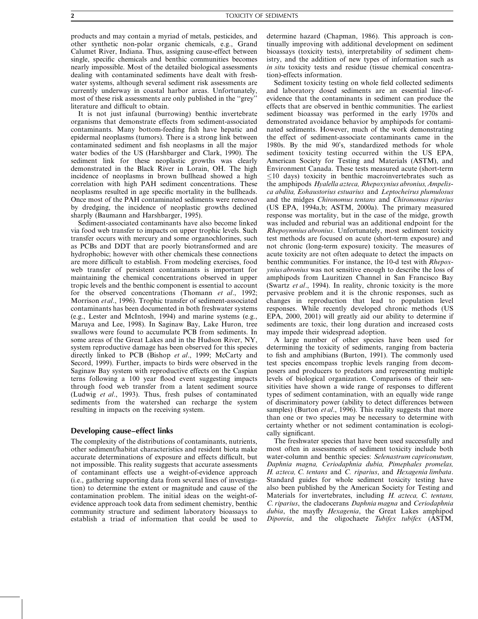products and may contain a myriad of metals, pesticides, and other synthetic non-polar organic chemicals, e.g., Grand Calumet River, Indiana. Thus, assigning cause-effect between single, specific chemicals and benthic communities becomes nearly impossible. Most of the detailed biological assessments dealing with contaminated sediments have dealt with freshwater systems, although several sediment risk assessments are currently underway in coastal harbor areas. Unfortunately, most of these risk assessments are only published in the "grey" literature and difficult to obtain.

It is not just infaunal (burrowing) benthic invertebrate organisms that demonstrate effects from sediment-associated contaminants. Many bottom-feeding fish have hepatic and epidermal neoplasms (tumors). There is a strong link between contaminated sediment and fish neoplasms in all the major water bodies of the US (Harshbarger and Clark, 1990). The sediment link for these neoplastic growths was clearly demonstrated in the Black River in Lorain, OH. The high incidence of neoplasms in brown bullhead showed a high correlation with high PAH sediment concentrations. These neoplasms resulted in age specific mortality in the bullheads. Once most of the PAH contaminated sediments were removed by dredging, the incidence of neoplastic growths declined sharply (Baumann and Harshbarger, 1995).

Sediment-associated contaminants have also become linked via food web transfer to impacts on upper trophic levels. Such transfer occurs with mercury and some organochlorines, such as PCBs and DDT that are poorly biotransformed and are hydrophobic; however with other chemicals these connections are more difficult to establish. From modeling exercises, food web transfer of persistent contaminants is important for maintaining the chemical concentrations observed in upper tropic levels and the benthic component is essential to account for the observed concentrations (Thomann et al., 1992; Morrison et al., 1996). Trophic transfer of sediment-associated contaminants has been documented in both freshwater systems (e.g., Lester and McIntosh, 1994) and marine systems (e.g., Maruva and Lee, 1998). In Saginaw Bay, Lake Huron, tree swallows were found to accumulate PCB from sediments. In some areas of the Great Lakes and in the Hudson River, NY, system reproductive damage has been observed for this species directly linked to PCB (Bishop et al., 1999; McCarty and Secord, 1999). Further, impacts to birds were observed in the Saginaw Bay system with reproductive effects on the Caspian terns following a 100 year flood event suggesting impacts through food web transfer from a latent sediment source (Ludwig et al., 1993). Thus, fresh pulses of contaminated sediments from the watershed can recharge the system resulting in impacts on the receiving system.

## Developing cause-effect links

The complexity of the distributions of contaminants, nutrients, other sediment/habitat characteristics and resident biota make accurate determinations of exposure and effects difficult, but not impossible. This reality suggests that accurate assessments of contaminant effects use a weight-of-evidence approach (i.e., gathering supporting data from several lines of investigation) to determine the extent or magnitude and cause of the contamination problem. The initial ideas on the weight-ofevidence approach took data from sediment chemistry, benthic community structure and sediment laboratory bioassays to establish a triad of information that could be used to

determine hazard (Chapman, 1986). This approach is continually improving with additional development on sediment bioassays (toxicity tests), interpretability of sediment chemistry, and the addition of new types of information such as in situ toxicity tests and residue (tissue chemical concentration)-effects information.

Sediment toxicity testing on whole field collected sediments and laboratory dosed sediments are an essential line-ofevidence that the contaminants in sediment can produce the effects that are observed in benthic communities. The earliest sediment bioassay was performed in the early 1970s and demonstrated avoidance behavior by amphipods for contaminated sediments. However, much of the work demonstrating the effect of sediment-associate contaminants came in the 1980s. By the mid 90's, standardized methods for whole sediment toxicity testing occurred within the US EPA, American Society for Testing and Materials (ASTM), and Environment Canada. These tests measured acute (short-term  $\leq$ 10 days) toxicity in benthic macroinvertebrates such as the amphipods Hyalella azteca, Rhepoxynius abronius, Ampelisca abdita, Eohaustorius estuarius and Leptocheirus plumulosus and the midges *Chironomus tentans* and *Chironomus riparius* (US EPA, 1994a,b; ASTM, 2000a). The primary measured response was mortality, but in the case of the midge, growth was included and reburial was an additional endpoint for the Rhepoynmius abronius. Unfortunately, most sediment toxicity test methods are focused on acute (short-term exposure) and not chronic (long-term exposure) toxicity. The measures of acute toxicity are not often adequate to detect the impacts on benthic communities. For instance, the 10-d test with Rhepoxynius abronius was not sensitive enough to describe the loss of amphipods from Lauritizen Channel in San Francisco Bay (Swartz et al., 1994). In reality, chronic toxicity is the more pervasive problem and it is the chronic responses, such as changes in reproduction that lead to population level responses. While recently developed chronic methods (US EPA, 2000, 2001) will greatly aid our ability to determine if sediments are toxic, their long duration and increased costs may impede their widespread adoption.

A large number of other species have been used for determining the toxicity of sediments, ranging from bacteria to fish and amphibians (Burton, 1991). The commonly used test species encompass trophic levels ranging from decomposers and producers to predators and representing multiple levels of biological organization. Comparisons of their sensitivities have shown a wide range of responses to different types of sediment contamination, with an equally wide range of discriminatory power (ability to detect differences between samples) (Burton *et al.*, 1996). This reality suggests that more than one or two species may be necessary to determine with certainty whether or not sediment contamination is ecologically significant.

The freshwater species that have been used successfully and most often in assessments of sediment toxicity include both water-column and benthic species: Selenastrum capriconutum, Daphnia magna, Ceriodaphnia dubia, Pimephales promelas, H. azteca, C. tentans and C. riparius, and Hexagenia limbata. Standard guides for whole sediment toxicity testing have also been published by the American Society for Testing and Materials for invertebrates, including H. azteca, C. tentans, C. riparius, the cladocerans Daphnia magna and Ceriodaphnia dubia, the mayfly Hexagenia, the Great Lakes amphipod Diporeia, and the oligochaete Tubifex tubifex (ASTM,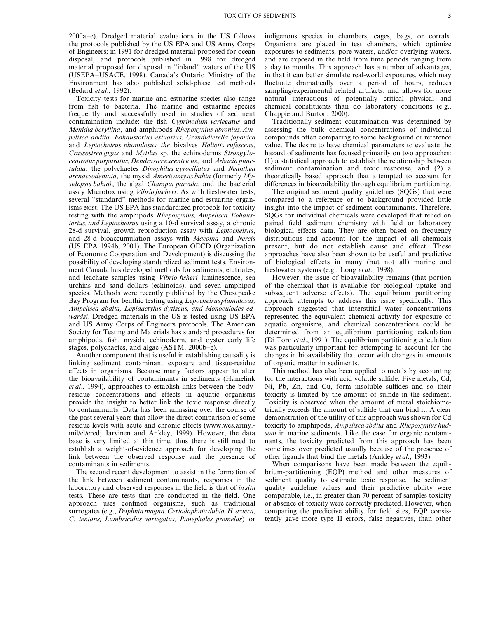$2000a-e$ ). Dredged material evaluations in the US follows the protocols published by the US EPA and US Army Corps of Engineers; in 1991 for dredged material proposed for ocean disposal, and protocols published in 1998 for dredged material proposed for disposal in "inland" waters of the US (USEPA-USACE, 1998). Canada's Ontario Ministry of the Environment has also published solid-phase test methods (Bedard et al., 1992).

Toxicity tests for marine and estuarine species also range from fish to bacteria. The marine and estuarine species frequently and successfully used in studies of sediment contamination include: the fish *Cyprinodum variegatus* and Menidia beryllina, and amphipods Rhepoxynius abronius, Ampelisca abdita, Eohaustorius estuarius, Grandidierella japonica and Leptocheirus plumulosus, the bivalves Haliotis rufescens, Crassostrea gigas and Mytilus sp. the echinoderms Strongylocentrotus purpuratus, Dendraster excentricus, and Arbacia punctulata, the polychaetes Dinophilus gyrociliatus and Neanthea arenaceodentata, the mysid Americamysis bahia (formerly Mysidopsis bahia), the algal Champia parvula, and the bacterial assay Microtox using *Vibrio fischeri*. As with freshwater tests, several "standard" methods for marine and estuarine organisms exist. The US EPA has standardized protocols for toxicity testing with the amphipods Rhepoxynius, Ampelisca, Eohaustorius, and Leptocheirus using a 10-d survival assay, a chronic 28-d survival, growth reproduction assay with Leptocheirus, and 28-d bioaccumulation assays with Macoma and Nereis (US EPA 1994b, 2001). The European OECD (Organization of Economic Cooperation and Development) is discussing the possibility of developing standardized sediment tests. Environment Canada has developed methods for sediments, elutriates, and leachate samples using *Vibrio fisheri* luminescence, sea urchins and sand dollars (echinoids), and seven amphipod species. Methods were recently published by the Chesapeake Bay Program for benthic testing using Lepocheirus plumulosus, Ampelisca abdita, Lepidactylus dytiscus, and Monoculodes edwardsi. Dredged materials in the US is tested using US EPA and US Army Corps of Engineers protocols. The American Society for Testing and Materials has standard procedures for amphipods, fish, mysids, echinoderm, and oyster early life stages, polychaetes, and algae (ASTM, 2000b-e).

Another component that is useful in establishing causality is linking sediment contaminant exposure and tissue-residue effects in organisms. Because many factors appear to alter the bioavailability of contaminants in sediments (Hamelink et al., 1994), approaches to establish links between the bodyresidue concentrations and effects in aquatic organisms provide the insight to better link the toxic response directly to contaminants. Data has been amassing over the course of the past several years that allow the direct comparison of some residue levels with acute and chronic effects (www.wes.army.mil/el/ered; Jarvinen and Ankley, 1999). However, the data base is very limited at this time, thus there is still need to establish a weight-of-evidence approach for developing the link between the observed response and the presence of contaminants in sediments.

The second recent development to assist in the formation of the link between sediment contaminants, responses in the laboratory and observed responses in the field is that of insitu tests. These are tests that are conducted in the field. One approach uses confined organisms, such as traditional surrogates (e.g., Daphnia magna, Ceriodaphnia dubia, H. azteca, C. tentans, Lumbriculus variegatus, Pimephales promelas) or indigenous species in chambers, cages, bags, or corrals. Organisms are placed in test chambers, which optimize exposures to sediments, pore waters, and/or overlying waters, and are exposed in the field from time periods ranging from a day to months. This approach has a number of advantages, in that it can better simulate real-world exposures, which may fluctuate dramatically over a period of hours, reduces sampling/experimental related artifacts, and allows for more natural interactions of potentially critical physical and chemical constituents than do laboratory conditions (e.g., Channie and Burton, 2000).

Traditionally sediment contamination was determined by assessing the bulk chemical concentrations of individual compounds often comparing to some background or reference value. The desire to have chemical parameters to evaluate the hazard of sediments has focused primarily on two approaches: (1) a statistical approach to establish the relationship between sediment contamination and toxic response; and (2) a theoretically based approach that attempted to account for differences in bioavailability through equilibrium partitioning.

The original sediment quality guidelines (SOGs) that were compared to a reference or to background provided little insight into the impact of sediment contaminants. Therefore, SQGs for individual chemicals were developed that relied on paired field sediment chemistry with field or laboratory biological effects data. They are often based on frequency distributions and account for the impact of all chemicals present, but do not establish cause and effect. These approaches have also been shown to be useful and predictive of biological effects in many (but not all) marine and freshwater systems (e.g., Long et al., 1998).

However, the issue of bioavailability remains (that portion of the chemical that is available for biological uptake and subsequent adverse effects). The equilibrium partitioning approach attempts to address this issue specifically. This approach suggested that interstitial water concentrations represented the equivalent chemical activity for exposure of aquatic organisms, and chemical concentrations could be determined from an equilibrium partitioning calculation (Di Toro etal., 1991). The equilibrium partitioning calculation was particularly important for attempting to account for the changes in bioavailability that occur with changes in amounts of organic matter in sediments.

This method has also been applied to metals by accounting for the interactions with acid volatile sulfide. Five metals, Cd, Ni, Pb, Zn, and Cu, form insoluble sulfides and so their toxicity is limited by the amount of sulfide in the sediment. Toxicity is observed when the amount of metal stoichiometrically exceeds the amount of sulfide that can bind it. A clear demonstration of the utility of this approach was shown for Cd toxicity to amphipods, Ampelisca abdita and Rhepoxynius hudsoni in marine sediments. Like the case for organic contaminants, the toxicity predicted from this approach has been sometimes over predicted usually because of the presence of other ligands that bind the metals (Ankley *et al.*, 1993).

When comparisons have been made between the equilibrium-partitioning (EQP) method and other measures of sediment quality to estimate toxic response, the sediment quality guideline values and their predictive ability were comparable, *i.e.*, in greater than 70 percent of samples toxicity or absence of toxicity were correctly predicted. However, when comparing the predictive ability for field sites, EQP consistently gave more type II errors, false negatives, than other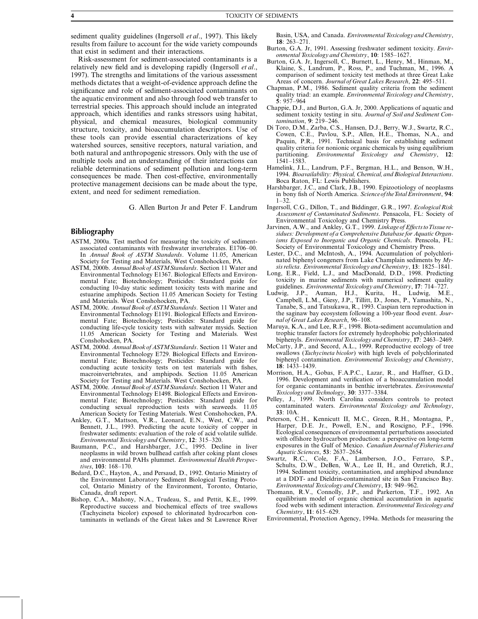sediment quality guidelines (Ingersoll *et al.*, 1997). This likely results from failure to account for the wide variety compounds that exist in sediment and their interactions.

Risk-assessment for sediment-associated contaminants is a relatively new field and is developing rapidly (Ingersoll et al., 1997). The strengths and limitations of the various assessment methods dictates that a weight-of-evidence approach define the significance and role of sediment-associated contaminants on the aquatic environment and also through food web transfer to terrestrial species. This approach should include an integrated approach, which identifies and ranks stressors using habitat, physical, and chemical measures, biological community structure, toxicity, and bioaccumulation descriptors. Use of these tools can provide essential characterizations of key watershed sources, sensitive receptors, natural variation, and both natural and anthropogenic stressors. Only with the use of multiple tools and an understanding of their interactions can reliable determinations of sediment pollution and long-term consequences be made. Then cost-effective, environmentally protective management decisions can be made about the type, extent, and need for sediment remediation.

G. Allen Burton Jr and Peter F. Landrum

#### **Bibliography**

- ASTM, 2000a. Test method for measuring the toxicity of sedimentassociated contaminants with freshwater invertebrates. E1706-00.<br>In Annual Book of ASTM Standards. Volume 11.05, American Society for Testing and Materials, West Conshohocken, PA.
- ASTM, 2000b. Annual Book of ASTM Standards. Section 11 Water and Environmental Technology E1367. Biological Effects and Environmental Fate; Biotechnology; Pesticides: Standard guide for conducting 10-day static sediment toxicity tests with marine and estuarine amphipods. Section 11.05 American Society for Testing and Materials. West Conshohocken, PA.
- ASTM, 2000c. Annual Book of ASTM Standards. Section 11 Water and Environmental Technology E1191. Biological Effects and Environmental Fate; Biotechnology; Pesticides: Standard guide for conducting life-cycle toxicity tests with saltwater mysids. Section 11.05 American Society for Testing and Materials. West Conshohocken, PA.
- ASTM, 2000d. Annual Book of ASTM Standards. Section 11 Water and Environmental Technology E729. Biological Effects and Environmental Fate; Biotechnology; Pesticides: Standard guide for conducting acute toxicity tests on test materials with fishes, macroinvertebrates, and amphipods. Section 11.05 American Society for Testing and Materials. West Conshohocken, PA.
- ASTM, 2000e. Annual Book of ASTM Standards. Section 11 Water and Environmental Technology E1498. Biological Effects and Environmental Fate; Biotechnology; Pesticides: Standard guide for conducting sexual reproduction tests with seaweeds. 11.05 American Society for Testing Materials. West Conshohocken, PA.
- Ankley, G.T., Mattson, V.R., Leonard, E.N., West, C.W., and Bennett, J.L., 1993. Predicting the acute toxicity of copper in freshwater sediments: evaluation of the role of acid volatile sulfide. Environmental Toxicology and Chemistry, 12: 315-320.
- Baumann, P.C., and Harshbarger, J.C., 1995. Decline in liver neoplasms in wild brown bullhead catfish after coking plant closes and environmental PAHs plummet. Environmental Health Perspectives, 103: 168-170.
- Bedard, D.C., Hayton, A., and Persaud, D., 1992. Ontario Ministry of the Environment Laboratory Sediment Biological Testing Protocol, Ontario Ministry of the Environment, Toronto, Ontario, Canada, draft report.
- Bishop, C.A., Mahony, N.A., Trudeau, S., and Pettit, K.E., 1999.<br>Reproductive success and biochemical effects of tree swallows (Tachycineta bicolor) exposed to chlorinated hydrocarbon contaminants in wetlands of the Great lakes and St Lawrence River

Basin, USA, and Canada. Environmental Toxicology and Chemistry,  $18.263 - 271$ 

- Burton, G.A. Jr, 1991. Assessing freshwater sediment toxicity. Environmental Toxicology and Chemistry, 10: 1585-1627.
- Burton, G.A. Jr, Ingersoll, C., Burnett, L., Henry, M., Hinman, M., Klaine, S., Landrum, P., Ross, P., and Tuchman, M., 1996. A comparison of sediment toxicity test methods at three Great Lake Areas of concern. Journal of Great Lakes Research, 22: 495-511.
- Chapman, P.M., 1986. Sediment quality criteria from the sediment quality triad: an example. Environmental Toxicology and Chemistry,  $5:957-964$
- Chappie, D.J., and Burton, G.A. Jr, 2000. Applications of aquatic and sediment toxicity testing in situ. Journal of Soil and Sediment Contamination, 9: 219-246.
- Di Toro, D.M., Zarba, C.S., Hansen, D.J., Berry, W.J., Swartz, R.C., Cowen, C.E., Pavlou, S.P., Allen, H.E., Thomas, N.A., and Paquin, P.R., 1991. Technical basis for establishing sediment quality criteria for nonionic organic chemicals by using equilibrium partitioning. Environmental Toxicology and Chemistry, 12:  $1541 - 1583.$
- Hamelink, J.L., Landrum, P.F., Bergman, H.L., and Benson, W.H., 1994. Bioavailability: Physical, Chemical, and Biological Interactions. Boca Raton, FL: Lewis Publishers
- Harshbarger, J.C., and Clark, J.B., 1990. Epizootiology of neoplasms in bony fish of North America. Science of the Total Environment, 94:  $1 - 32$
- Ingersoll, C.G., Dillon, T., and Biddinger, G.R., 1997. Ecological Risk Assessment of Contaminated Sediments. Pensacola, FL: Society of Environmental Toxicology and Chemistry Press.
- Jarvinen, A.W., and Ankley, G.T., 1999. Linkage of Effects to Tissue re-<br>sidues: Development of a Comprehensive Database for Aquatic Organisms Exposed to Inorganic and Organic Chemicals. Penscola, FL: Society of Environmental Toxicology and Chemistry Press.
- Lester, D.C., and McIntosh, A., 1994. Accumulation of polychlorinated biphenyl congeners from Lake Champlain sediments by  $My$ sis relicta. Environmental Toxicology and Chemistry, 13: 1825–1841.
- Long, E.R., Field, L.J., and MacDonald, D.D., 1998. Predicting toxicity in marine sediments with numerical sediment quality guidelines. Environmental Toxicology and Chemistry, 17: 714-727.
- dwig, J.P., Auman, H.J., Kurita, H., Ludwig, M.E.,<br>Campbell, L.M., Giesy, J.P., Tillitt, D., Jones, P., Yamashita, N., Ludwig. J.P., Tanabe, S., and Tatsukawa, R., 1993. Caspian tern reproduction in the saginaw bay ecosystem following a 100-year flood event. Journal of Great Lakes Research, 96-108.
- Maruya, K.A., and Lee, R.F., 1998. Biota-sediment accumulation and trophic transfer factors for extremely hydrophobic polychlorinated biphenyls. Environmental Toxicology and Chemistry, 17: 2463-2469.
- McCarty, J.P., and Secord, A.L., 1999. Reproductive ecology of tree swallows (Tachycineta bicolor) with high levels of polychlorinated biphenyl contamination. Environmental Toxicology and Chemistry,  $18: 1433 - 1439.$
- Morrison, H.A., Gobas, F.A.P.C., Lazar, R., and Haffner, G.D., 1996. Development and verification of a bioaccumulation model for organic contaminants in benthic invertebrates. Environmental Toxicology and Technology, 30: 3377-3384.
- Pelley, J., 1999. North Carolina considers controls to protect contaminated waters. Environmental Toxicology and Technology,  $33:10A$
- Peterson, C.H., Kennicutt II, M.C., Green, R.H., Montagna, P., Harper, D.E. Jr., Powell, E.N., and Roscigno, P.F., 1996. Ecological consequences of environmental perturbations associated with offshore hydrocarbon production: a perspective on long-term exposures in the Gulf of Mexico. Canadian Journal of Fisheries and Aquatic Sciences, 53: 2637-2654.
- Swartz, R.C., Cole, F.A., Lamberson, J.O., Ferraro, S.P., Schults, D.W., DeBen, W.A., Lee II, H., and Ozretich, R.J., 1994. Sediment toxicity, contamination, and amphipod abundance at a DDT- and Dieldrin-contaminated site in San Francisco Bay. Environmental Toxicology and Chemistry, 13: 949-962.
- Thomann, R.V., Connolly, J.P., and Parkerton, T.F., 1992. An equilibrium model of organic chemical accumulation in aquatic food webs with sediment interaction. Environmental Toxicology and Chemistry, 11: 615-629.

Environmental, Protection Agency, 1994a. Methods for measuring the